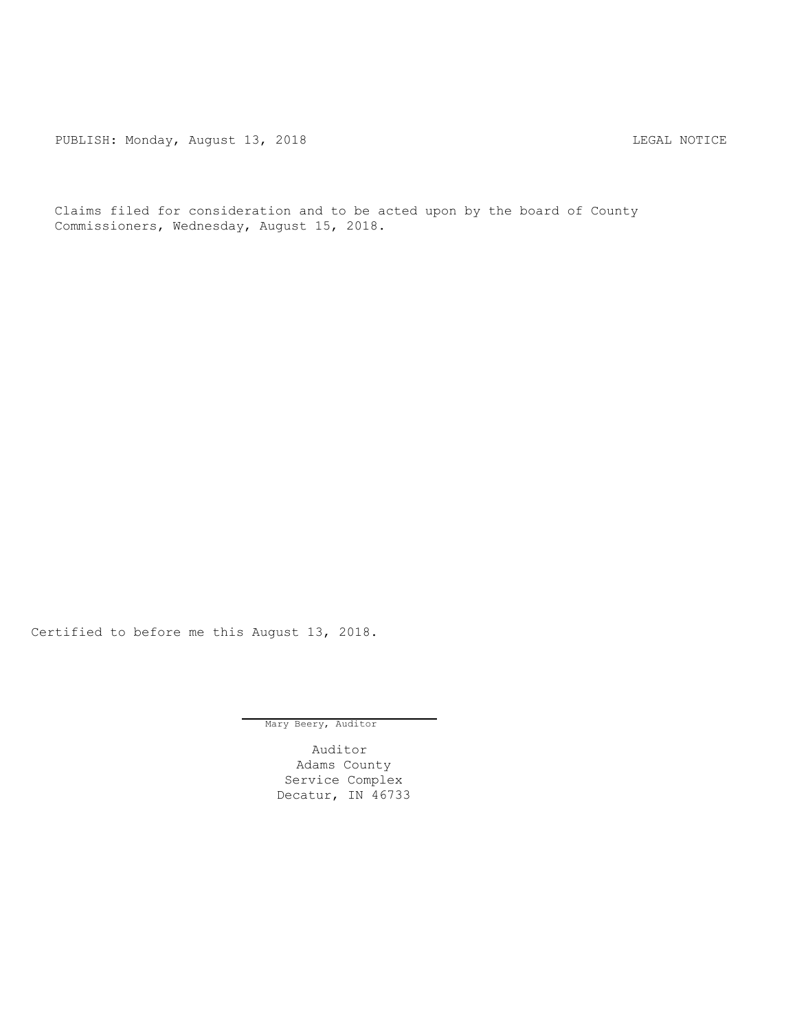PUBLISH: Monday, August 13, 2018 CHA CHANGE AND THE MOTICE

Claims filed for consideration and to be acted upon by the board of County Commissioners, Wednesday, August 15, 2018.

Certified to before me this August 13, 2018.

Mary Beery, Auditor

Auditor Adams County Service Complex Decatur, IN 46733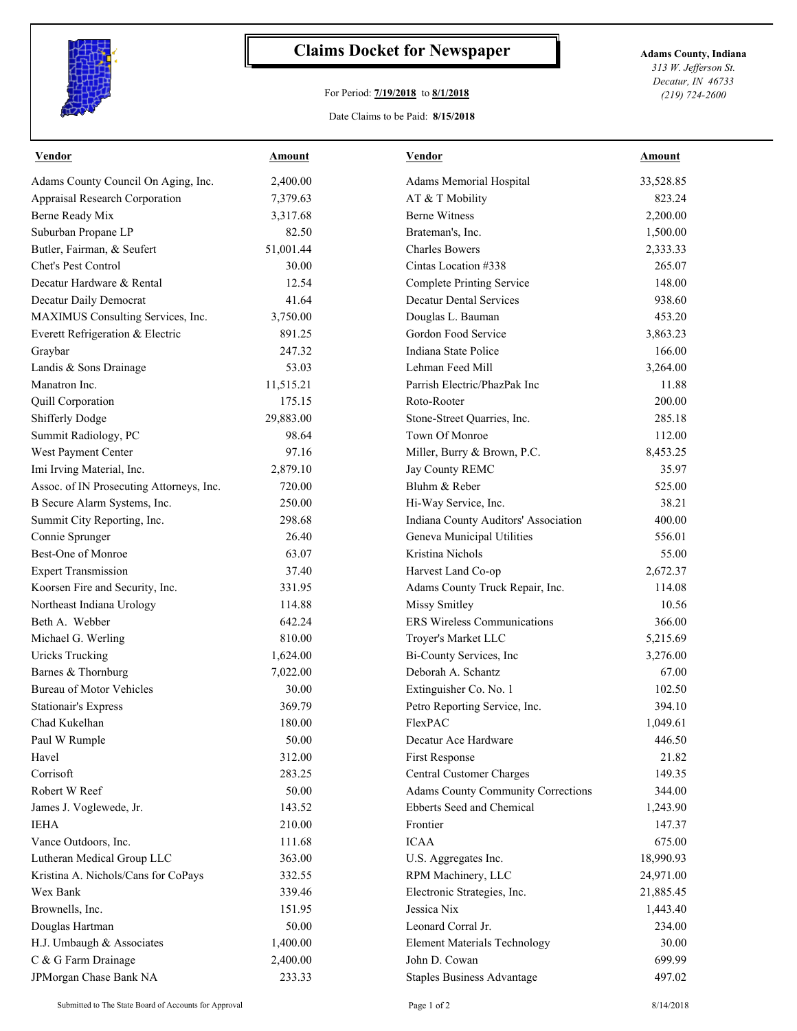

## **Claims Docket for Newspaper Adams County, Indiana**

## For Period: **7/19/2018** to **8/1/2018**

*313 W. Jefferson St. Decatur, IN 46733 (219) 724-2600*

## Date Claims to be Paid: **8/15/2018**

| <b>Vendor</b>                            | <u>Amount</u> | <b>Vendor</b>                             | <b>Amount</b> |
|------------------------------------------|---------------|-------------------------------------------|---------------|
| Adams County Council On Aging, Inc.      | 2,400.00      | Adams Memorial Hospital                   | 33,528.85     |
| Appraisal Research Corporation           | 7,379.63      | AT & T Mobility                           | 823.24        |
| Berne Ready Mix                          | 3,317.68      | <b>Berne Witness</b>                      | 2,200.00      |
| Suburban Propane LP                      | 82.50         | Brateman's, Inc.                          | 1,500.00      |
| Butler, Fairman, & Seufert               | 51,001.44     | <b>Charles Bowers</b>                     | 2,333.33      |
| Chet's Pest Control                      | 30.00         | Cintas Location #338                      | 265.07        |
| Decatur Hardware & Rental                | 12.54         | <b>Complete Printing Service</b>          | 148.00        |
| Decatur Daily Democrat                   | 41.64         | <b>Decatur Dental Services</b>            | 938.60        |
| MAXIMUS Consulting Services, Inc.        | 3,750.00      | Douglas L. Bauman                         | 453.20        |
| Everett Refrigeration & Electric         | 891.25        | Gordon Food Service                       | 3,863.23      |
| Graybar                                  | 247.32        | Indiana State Police                      | 166.00        |
| Landis & Sons Drainage                   | 53.03         | Lehman Feed Mill                          | 3,264.00      |
| Manatron Inc.                            | 11,515.21     | Parrish Electric/PhazPak Inc              | 11.88         |
| Quill Corporation                        | 175.15        | Roto-Rooter                               | 200.00        |
| Shifferly Dodge                          | 29,883.00     | Stone-Street Quarries, Inc.               | 285.18        |
| Summit Radiology, PC                     | 98.64         | Town Of Monroe                            | 112.00        |
| West Payment Center                      | 97.16         | Miller, Burry & Brown, P.C.               | 8,453.25      |
| Imi Irving Material, Inc.                | 2,879.10      | Jay County REMC                           | 35.97         |
| Assoc. of IN Prosecuting Attorneys, Inc. | 720.00        | Bluhm & Reber                             | 525.00        |
| B Secure Alarm Systems, Inc.             | 250.00        | Hi-Way Service, Inc.                      | 38.21         |
| Summit City Reporting, Inc.              | 298.68        | Indiana County Auditors' Association      | 400.00        |
| Connie Sprunger                          | 26.40         | Geneva Municipal Utilities                | 556.01        |
| Best-One of Monroe                       | 63.07         | Kristina Nichols                          | 55.00         |
| <b>Expert Transmission</b>               | 37.40         | Harvest Land Co-op                        | 2,672.37      |
| Koorsen Fire and Security, Inc.          | 331.95        | Adams County Truck Repair, Inc.           | 114.08        |
| Northeast Indiana Urology                | 114.88        | <b>Missy Smitley</b>                      | 10.56         |
| Beth A. Webber                           | 642.24        | <b>ERS</b> Wireless Communications        | 366.00        |
| Michael G. Werling                       | 810.00        | Troyer's Market LLC                       | 5,215.69      |
| <b>Uricks Trucking</b>                   | 1,624.00      | Bi-County Services, Inc                   | 3,276.00      |
| Barnes & Thornburg                       | 7,022.00      | Deborah A. Schantz                        | 67.00         |
| <b>Bureau of Motor Vehicles</b>          | 30.00         | Extinguisher Co. No. 1                    | 102.50        |
| <b>Stationair's Express</b>              | 369.79        | Petro Reporting Service, Inc.             | 394.10        |
| Chad Kukelhan                            | 180.00        | FlexPAC                                   | 1,049.61      |
| Paul W Rumple                            | 50.00         | Decatur Ace Hardware                      | 446.50        |
| Havel                                    | 312.00        | First Response                            | 21.82         |
| Corrisoft                                | 283.25        | Central Customer Charges                  | 149.35        |
| Robert W Reef                            | 50.00         | <b>Adams County Community Corrections</b> | 344.00        |
| James J. Voglewede, Jr.                  | 143.52        | Ebberts Seed and Chemical                 | 1,243.90      |
| <b>IEHA</b>                              | 210.00        | Frontier                                  | 147.37        |
| Vance Outdoors, Inc.                     | 111.68        | <b>ICAA</b>                               | 675.00        |
| Lutheran Medical Group LLC               | 363.00        | U.S. Aggregates Inc.                      | 18,990.93     |
| Kristina A. Nichols/Cans for CoPays      | 332.55        | RPM Machinery, LLC                        | 24,971.00     |
| Wex Bank                                 | 339.46        | Electronic Strategies, Inc.               | 21,885.45     |
| Brownells, Inc.                          | 151.95        | Jessica Nix                               | 1,443.40      |
| Douglas Hartman                          | 50.00         | Leonard Corral Jr.                        | 234.00        |
| H.J. Umbaugh & Associates                | 1,400.00      | <b>Element Materials Technology</b>       | 30.00         |
| C & G Farm Drainage                      | 2,400.00      | John D. Cowan                             | 699.99        |
| JPMorgan Chase Bank NA                   | 233.33        | <b>Staples Business Advantage</b>         | 497.02        |